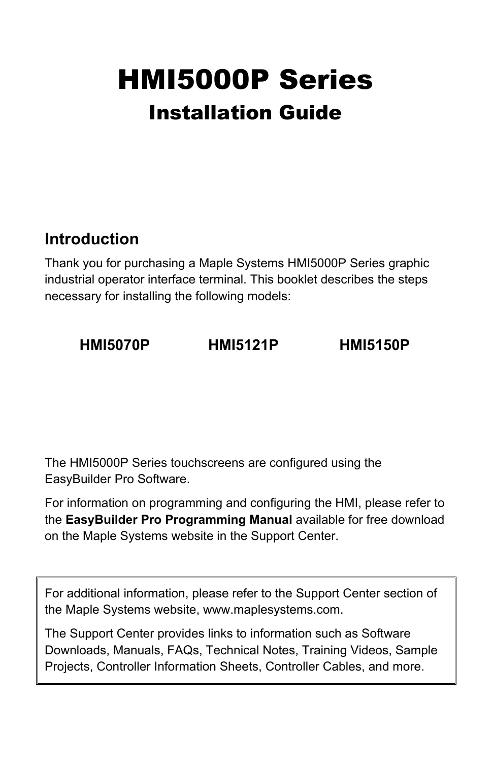# HMI5000P Series Installation Guide

# **Introduction**

Thank you for purchasing a Maple Systems HMI5000P Series graphic industrial operator interface terminal. This booklet describes the steps necessary for installing the following models:

# **HMI5070P HMI5121P HMI5150P**

The HMI5000P Series touchscreens are configured using the EasyBuilder Pro Software.

For information on programming and configuring the HMI, please refer to the **EasyBuilder Pro Programming Manual** available for free download on the Maple Systems website in the Support Center.

For additional information, please refer to the Support Center section of the Maple Systems website, www.maplesystems.com.

The Support Center provides links to information such as Software Downloads, Manuals, FAQs, Technical Notes, Training Videos, Sample Projects, Controller Information Sheets, Controller Cables, and more.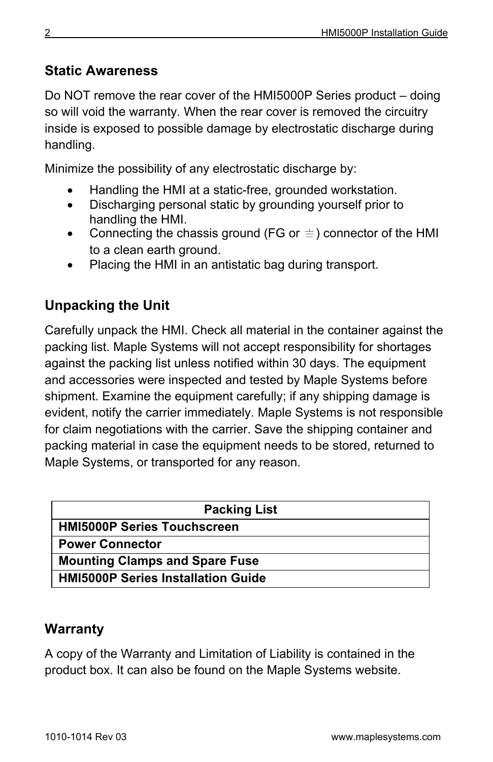# **Static Awareness**

Do NOT remove the rear cover of the HMI5000P Series product – doing so will void the warranty. When the rear cover is removed the circuitry inside is exposed to possible damage by electrostatic discharge during handling.

Minimize the possibility of any electrostatic discharge by:

- Handling the HMI at a static-free, grounded workstation.
- Discharging personal static by grounding yourself prior to handling the HMI.
- Connecting the chassis ground (FG or  $\equiv$  ) connector of the HMI to a clean earth ground.
- Placing the HMI in an antistatic bag during transport.

# **Unpacking the Unit**

Carefully unpack the HMI. Check all material in the container against the packing list. Maple Systems will not accept responsibility for shortages against the packing list unless notified within 30 days. The equipment and accessories were inspected and tested by Maple Systems before shipment. Examine the equipment carefully; if any shipping damage is evident, notify the carrier immediately. Maple Systems is not responsible for claim negotiations with the carrier. Save the shipping container and packing material in case the equipment needs to be stored, returned to Maple Systems, or transported for any reason.

| <b>Packing List</b>                       |
|-------------------------------------------|
| <b>HMI5000P Series Touchscreen</b>        |
| <b>Power Connector</b>                    |
| <b>Mounting Clamps and Spare Fuse</b>     |
| <b>HMI5000P Series Installation Guide</b> |

## **Warranty**

A copy of the Warranty and Limitation of Liability is contained in the product box. It can also be found on the Maple Systems website.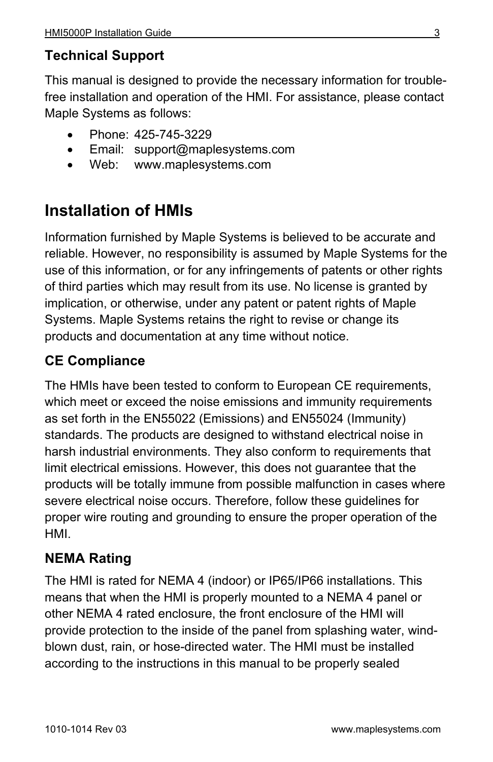# **Technical Support**

This manual is designed to provide the necessary information for troublefree installation and operation of the HMI. For assistance, please contact Maple Systems as follows:

- Phone: 425-745-3229
- Email: support@maplesystems.com
- Web: www.maplesystems.com

# **Installation of HMIs**

Information furnished by Maple Systems is believed to be accurate and reliable. However, no responsibility is assumed by Maple Systems for the use of this information, or for any infringements of patents or other rights of third parties which may result from its use. No license is granted by implication, or otherwise, under any patent or patent rights of Maple Systems. Maple Systems retains the right to revise or change its products and documentation at any time without notice.

# **CE Compliance**

The HMIs have been tested to conform to European CE requirements, which meet or exceed the noise emissions and immunity requirements as set forth in the EN55022 (Emissions) and EN55024 (Immunity) standards. The products are designed to withstand electrical noise in harsh industrial environments. They also conform to requirements that limit electrical emissions. However, this does not guarantee that the products will be totally immune from possible malfunction in cases where severe electrical noise occurs. Therefore, follow these guidelines for proper wire routing and grounding to ensure the proper operation of the HMI.

# **NEMA Rating**

The HMI is rated for NEMA 4 (indoor) or IP65/IP66 installations. This means that when the HMI is properly mounted to a NEMA 4 panel or other NEMA 4 rated enclosure, the front enclosure of the HMI will provide protection to the inside of the panel from splashing water, windblown dust, rain, or hose-directed water. The HMI must be installed according to the instructions in this manual to be properly sealed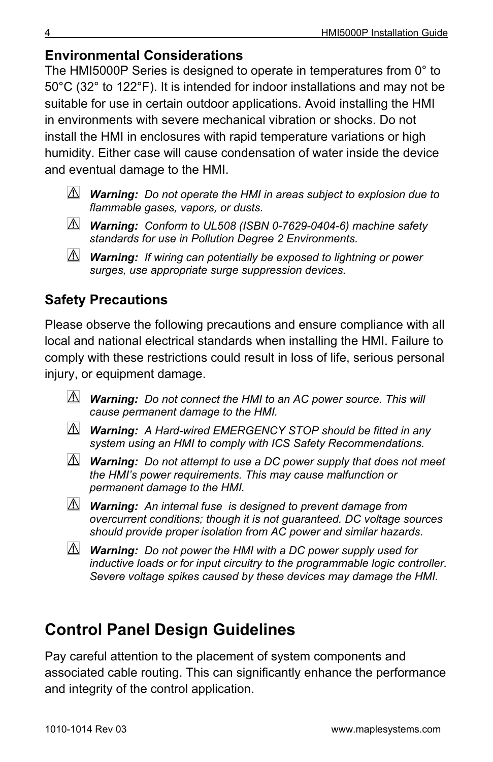# **Environmental Considerations**

The HMI5000P Series is designed to operate in temperatures from 0° to 50°C (32° to 122°F). It is intended for indoor installations and may not be suitable for use in certain outdoor applications. Avoid installing the HMI in environments with severe mechanical vibration or shocks. Do not install the HMI in enclosures with rapid temperature variations or high humidity. Either case will cause condensation of water inside the device and eventual damage to the HMI.

- *Warning: Do not operate the HMI in areas subject to explosion due to flammable gases, vapors, or dusts.*
- *Warning: Conform to UL508 (ISBN 0-7629-0404-6) machine safety standards for use in Pollution Degree 2 Environments.*
- *Warning: If wiring can potentially be exposed to lightning or power surges, use appropriate surge suppression devices.*

# **Safety Precautions**

Please observe the following precautions and ensure compliance with all local and national electrical standards when installing the HMI. Failure to comply with these restrictions could result in loss of life, serious personal injury, or equipment damage.

- *Warning: Do not connect the HMI to an AC power source. This will cause permanent damage to the HMI.*
- *Warning: A Hard-wired EMERGENCY STOP should be fitted in any system using an HMI to comply with ICS Safety Recommendations.*
- *Warning: Do not attempt to use a DC power supply that does not meet the HMI's power requirements. This may cause malfunction or permanent damage to the HMI.*
- *Warning: An internal fuse is designed to prevent damage from overcurrent conditions; though it is not guaranteed. DC voltage sources should provide proper isolation from AC power and similar hazards.*
- *Warning: Do not power the HMI with a DC power supply used for inductive loads or for input circuitry to the programmable logic controller. Severe voltage spikes caused by these devices may damage the HMI.*

# **Control Panel Design Guidelines**

Pay careful attention to the placement of system components and associated cable routing. This can significantly enhance the performance and integrity of the control application.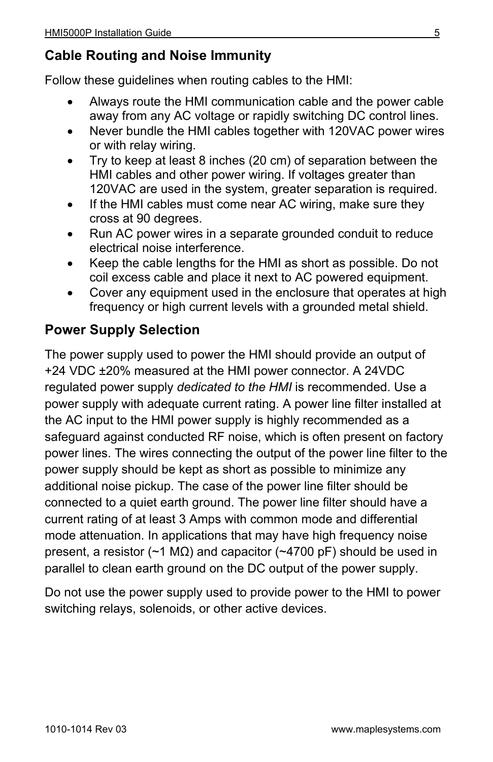## **Cable Routing and Noise Immunity**

Follow these guidelines when routing cables to the HMI:

- Always route the HMI communication cable and the power cable away from any AC voltage or rapidly switching DC control lines.
- Never bundle the HMI cables together with 120VAC power wires or with relay wiring.
- Try to keep at least 8 inches (20 cm) of separation between the HMI cables and other power wiring. If voltages greater than 120VAC are used in the system, greater separation is required.
- If the HMI cables must come near AC wiring, make sure they cross at 90 degrees.
- Run AC power wires in a separate grounded conduit to reduce electrical noise interference.
- Keep the cable lengths for the HMI as short as possible. Do not coil excess cable and place it next to AC powered equipment.
- Cover any equipment used in the enclosure that operates at high frequency or high current levels with a grounded metal shield.

## **Power Supply Selection**

The power supply used to power the HMI should provide an output of +24 VDC ±20% measured at the HMI power connector. A 24VDC regulated power supply *dedicated to the HMI* is recommended. Use a power supply with adequate current rating. A power line filter installed at the AC input to the HMI power supply is highly recommended as a safeguard against conducted RF noise, which is often present on factory power lines. The wires connecting the output of the power line filter to the power supply should be kept as short as possible to minimize any additional noise pickup. The case of the power line filter should be connected to a quiet earth ground. The power line filter should have a current rating of at least 3 Amps with common mode and differential mode attenuation. In applications that may have high frequency noise present, a resistor (~1 MΩ) and capacitor (~4700 pF) should be used in parallel to clean earth ground on the DC output of the power supply.

Do not use the power supply used to provide power to the HMI to power switching relays, solenoids, or other active devices.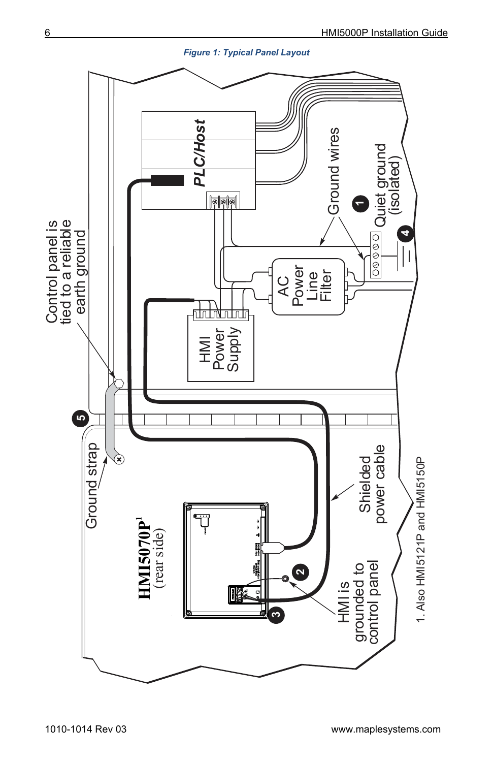

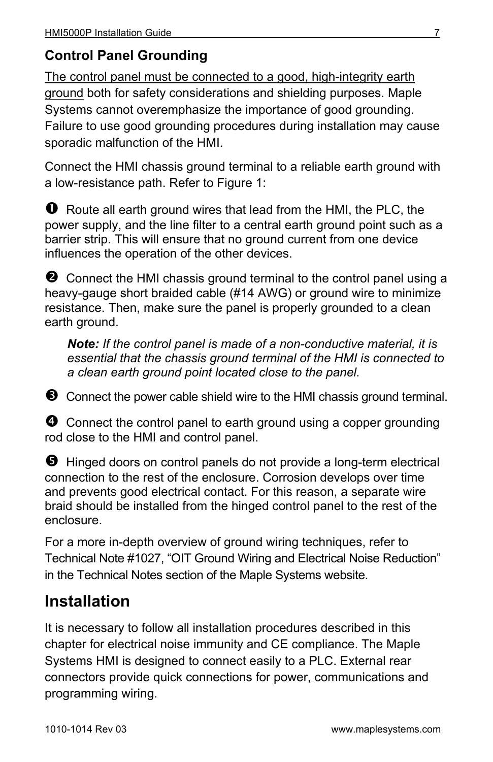# **Control Panel Grounding**

The control panel must be connected to a good, high-integrity earth ground both for safety considerations and shielding purposes. Maple Systems cannot overemphasize the importance of good grounding. Failure to use good grounding procedures during installation may cause sporadic malfunction of the HMI.

Connect the HMI chassis ground terminal to a reliable earth ground with a low-resistance path. Refer to Figure 1:

**O** Route all earth ground wires that lead from the HMI, the PLC, the power supply, and the line filter to a central earth ground point such as a barrier strip. This will ensure that no ground current from one device influences the operation of the other devices.

**2** Connect the HMI chassis ground terminal to the control panel using a heavy-gauge short braided cable (#14 AWG) or ground wire to minimize resistance. Then, make sure the panel is properly grounded to a clean earth ground.

*Note: If the control panel is made of a non-conductive material, it is essential that the chassis ground terminal of the HMI is connected to a clean earth ground point located close to the panel.* 

Connect the power cable shield wire to the HMI chassis ground terminal.

**O** Connect the control panel to earth ground using a copper grounding rod close to the HMI and control panel.

**D** Hinged doors on control panels do not provide a long-term electrical connection to the rest of the enclosure. Corrosion develops over time and prevents good electrical contact. For this reason, a separate wire braid should be installed from the hinged control panel to the rest of the enclosure.

For a more in-depth overview of ground wiring techniques, refer to Technical Note #1027, "OIT Ground Wiring and Electrical Noise Reduction" in the Technical Notes section of the Maple Systems website.

# **Installation**

It is necessary to follow all installation procedures described in this chapter for electrical noise immunity and CE compliance. The Maple Systems HMI is designed to connect easily to a PLC. External rear connectors provide quick connections for power, communications and programming wiring.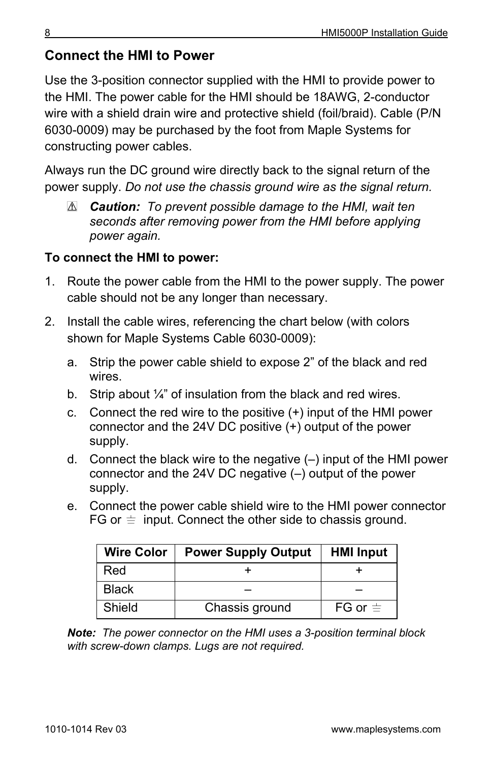## **Connect the HMI to Power**

Use the 3-position connector supplied with the HMI to provide power to the HMI. The power cable for the HMI should be 18AWG, 2-conductor wire with a shield drain wire and protective shield (foil/braid). Cable (P/N 6030-0009) may be purchased by the foot from Maple Systems for constructing power cables.

Always run the DC ground wire directly back to the signal return of the power supply. *Do not use the chassis ground wire as the signal return.*

*Caution: To prevent possible damage to the HMI, wait ten seconds after removing power from the HMI before applying power again.*

#### **To connect the HMI to power:**

- 1. Route the power cable from the HMI to the power supply. The power cable should not be any longer than necessary.
- 2. Install the cable wires, referencing the chart below (with colors shown for Maple Systems Cable 6030-0009):
	- a. Strip the power cable shield to expose 2" of the black and red wires.
	- b. Strip about  $\frac{1}{4}$ " of insulation from the black and red wires.
	- c. Connect the red wire to the positive (+) input of the HMI power connector and the 24V DC positive (+) output of the power supply.
	- d. Connect the black wire to the negative (–) input of the HMI power connector and the 24V DC negative (–) output of the power supply.
	- e. Connect the power cable shield wire to the HMI power connector FG or  $\equiv$  input. Connect the other side to chassis ground.

| <b>Wire Color</b> | <b>Power Supply Output</b> | <b>HMI Input</b> |
|-------------------|----------------------------|------------------|
| Red               |                            |                  |
| <b>Black</b>      |                            |                  |
| Shield            | Chassis ground             | FG or $\equiv$   |

*Note: The power connector on the HMI uses a 3-position terminal block with screw-down clamps. Lugs are not required.*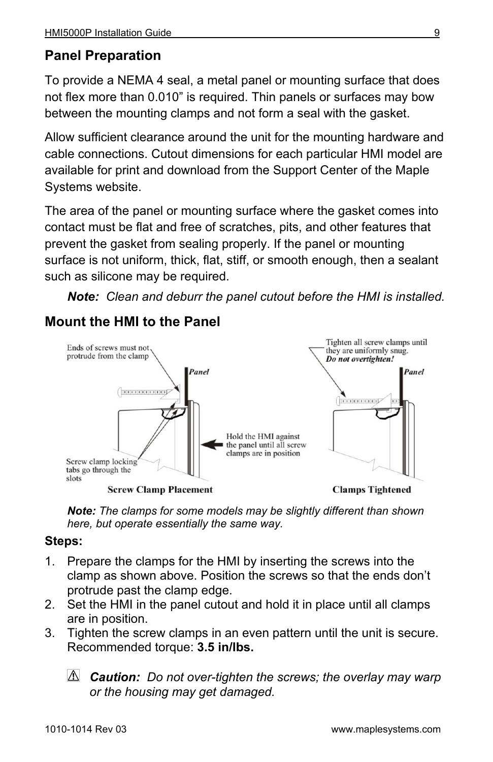# **Panel Preparation**

To provide a NEMA 4 seal, a metal panel or mounting surface that does not flex more than 0.010" is required. Thin panels or surfaces may bow between the mounting clamps and not form a seal with the gasket.

Allow sufficient clearance around the unit for the mounting hardware and cable connections. Cutout dimensions for each particular HMI model are available for print and download from the Support Center of the Maple Systems website.

The area of the panel or mounting surface where the gasket comes into contact must be flat and free of scratches, pits, and other features that prevent the gasket from sealing properly. If the panel or mounting surface is not uniform, thick, flat, stiff, or smooth enough, then a sealant such as silicone may be required.

*Note: Clean and deburr the panel cutout before the HMI is installed.*

## **Mount the HMI to the Panel**



*Note: The clamps for some models may be slightly different than shown here, but operate essentially the same way.*

#### **Steps:**

- 1. Prepare the clamps for the HMI by inserting the screws into the clamp as shown above. Position the screws so that the ends don't protrude past the clamp edge.
- 2. Set the HMI in the panel cutout and hold it in place until all clamps are in position.
- 3. Tighten the screw clamps in an even pattern until the unit is secure. Recommended torque: **3.5 in/lbs.**
	- *Caution: Do not over-tighten the screws; the overlay may warp or the housing may get damaged.*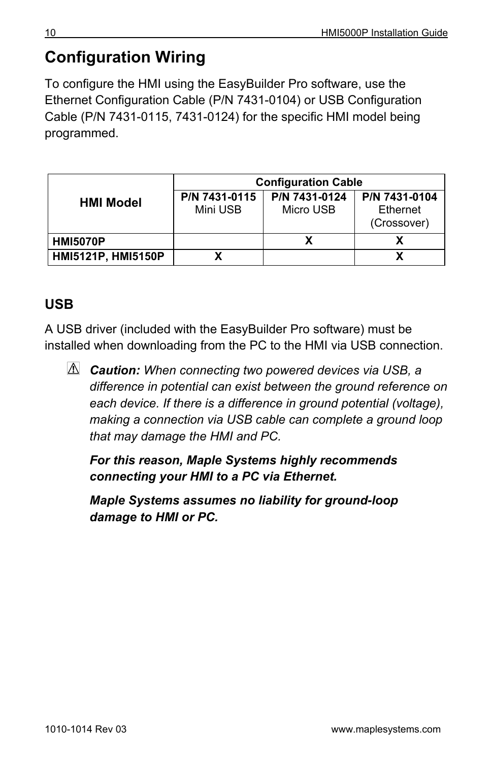# **Configuration Wiring**

To configure the HMI using the EasyBuilder Pro software, use the Ethernet Configuration Cable (P/N 7431-0104) or USB Configuration Cable (P/N 7431-0115, 7431-0124) for the specific HMI model being programmed.

|                    | <b>Configuration Cable</b> |                            |                                          |  |
|--------------------|----------------------------|----------------------------|------------------------------------------|--|
| <b>HMI Model</b>   | P/N 7431-0115<br>Mini USB  | P/N 7431-0124<br>Micro USB | P/N 7431-0104<br>Ethernet<br>(Crossover) |  |
| <b>HMI5070P</b>    |                            |                            |                                          |  |
| HMI5121P, HMI5150P |                            |                            |                                          |  |

# **USB**

A USB driver (included with the EasyBuilder Pro software) must be installed when downloading from the PC to the HMI via USB connection.

*Caution: When connecting two powered devices via USB, a difference in potential can exist between the ground reference on each device. If there is a difference in ground potential (voltage), making a connection via USB cable can complete a ground loop that may damage the HMI and PC.* 

*For this reason, Maple Systems highly recommends connecting your HMI to a PC via Ethernet.* 

*Maple Systems assumes no liability for ground-loop damage to HMI or PC.*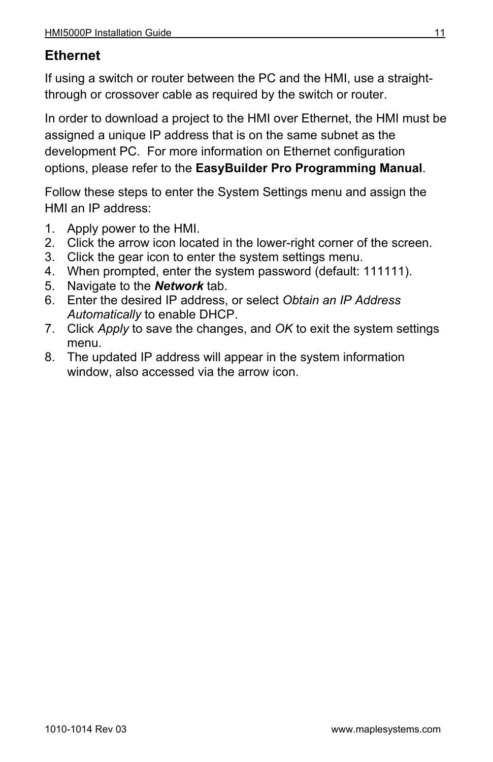### **Ethernet**

If using a switch or router between the PC and the HMI, use a straightthrough or crossover cable as required by the switch or router.

In order to download a project to the HMI over Ethernet, the HMI must be assigned a unique IP address that is on the same subnet as the development PC. For more information on Ethernet configuration options, please refer to the **EasyBuilder Pro Programming Manual**.

Follow these steps to enter the System Settings menu and assign the HMI an IP address:

- 1. Apply power to the HMI.
- 2. Click the arrow icon located in the lower-right corner of the screen.
- 3. Click the gear icon to enter the system settings menu.
- 4. When prompted, enter the system password (default: 111111).
- 5. Navigate to the *Network* tab.
- 6. Enter the desired IP address, or select *Obtain an IP Address Automatically* to enable DHCP.
- 7. Click *Apply* to save the changes, and *OK* to exit the system settings menu.
- 8. The updated IP address will appear in the system information window, also accessed via the arrow icon.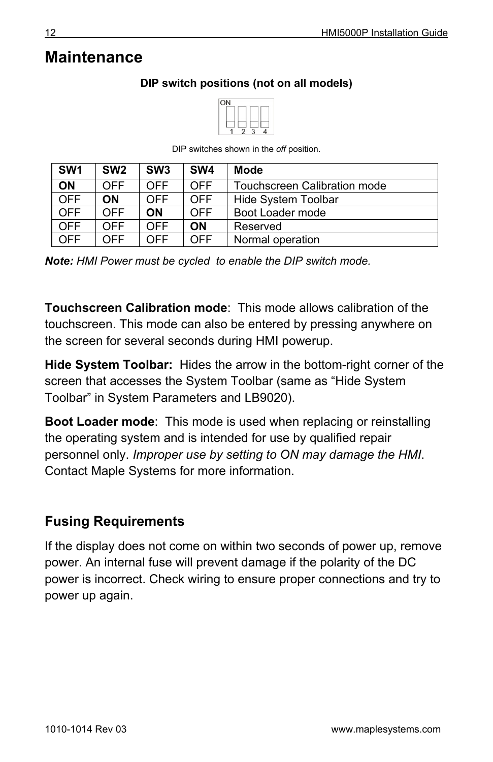# **Maintenance**

#### **DIP switch positions (not on all models)**



DIP switches shown in the *off* position.

| SW <sub>1</sub> | SW <sub>2</sub> | SW <sub>3</sub> | SW <sub>4</sub> | Mode                         |
|-----------------|-----------------|-----------------|-----------------|------------------------------|
| <b>ON</b>       | <b>OFF</b>      | OFF             | <b>OFF</b>      | Touchscreen Calibration mode |
| <b>OFF</b>      | OΝ              | OFF             | <b>OFF</b>      | <b>Hide System Toolbar</b>   |
| <b>OFF</b>      | <b>OFF</b>      | ΟN              | <b>OFF</b>      | Boot Loader mode             |
| <b>OFF</b>      | <b>OFF</b>      | OFF             | ON              | Reserved                     |
| <b>OFF</b>      | OFF             | OFF             | OFF             | Normal operation             |

*Note: HMI Power must be cycled to enable the DIP switch mode.*

**Touchscreen Calibration mode**: This mode allows calibration of the touchscreen. This mode can also be entered by pressing anywhere on the screen for several seconds during HMI powerup.

**Hide System Toolbar:** Hides the arrow in the bottom-right corner of the screen that accesses the System Toolbar (same as "Hide System Toolbar" in System Parameters and LB9020).

**Boot Loader mode**: This mode is used when replacing or reinstalling the operating system and is intended for use by qualified repair personnel only. *Improper use by setting to ON may damage the HMI*. Contact Maple Systems for more information.

# **Fusing Requirements**

If the display does not come on within two seconds of power up, remove power. An internal fuse will prevent damage if the polarity of the DC power is incorrect. Check wiring to ensure proper connections and try to power up again.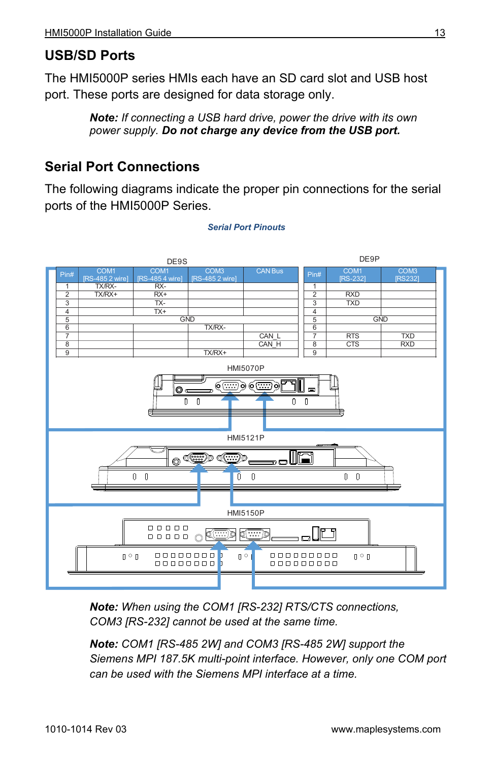## **USB/SD Ports**

The HMI5000P series HMIs each have an SD card slot and USB host port. These ports are designed for data storage only.

> *Note: If connecting a USB hard drive, power the drive with its own power supply. Do not charge any device from the USB port.*

## **Serial Port Connections**

The following diagrams indicate the proper pin connections for the serial ports of the HMI5000P Series.



#### *Serial Port Pinouts*

*Note: When using the COM1 [RS-232] RTS/CTS connections, COM3 [RS-232] cannot be used at the same time.*

*Note: COM1 [RS-485 2W] and COM3 [RS-485 2W] support the Siemens MPI 187.5K multi-point interface. However, only one COM port can be used with the Siemens MPI interface at a time.*